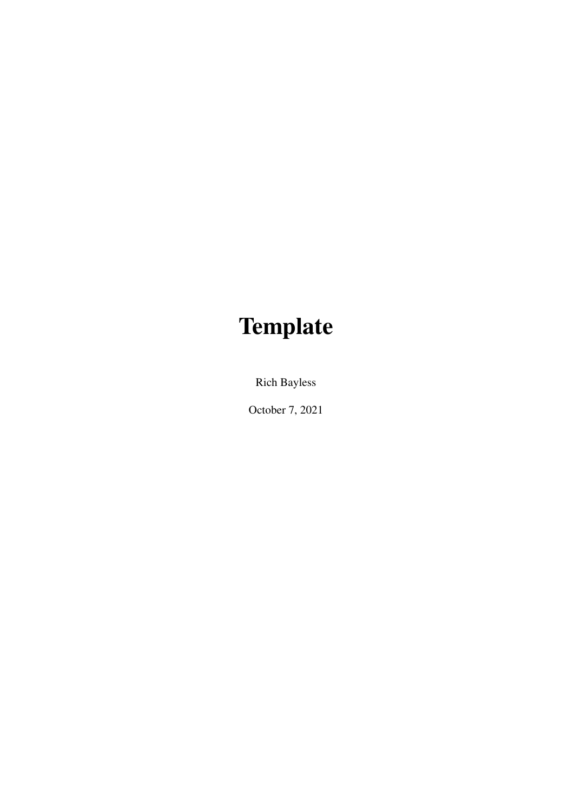# **Template**

Rich Bayless

October 7, 2021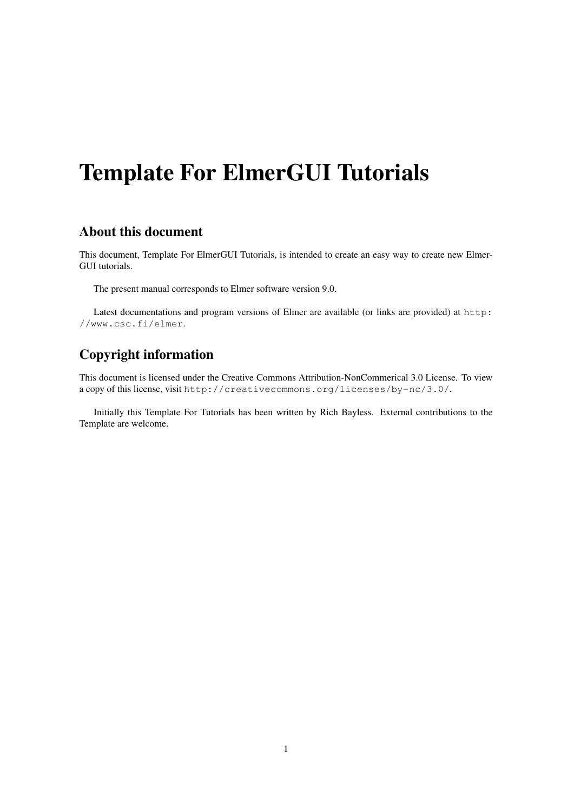## Template For ElmerGUI Tutorials

### About this document

This document, Template For ElmerGUI Tutorials, is intended to create an easy way to create new Elmer-GUI tutorials.

The present manual corresponds to Elmer software version 9.0.

Latest documentations and program versions of Elmer are available (or links are provided) at [http:](http://www.csc.fi/elmer) [//www.csc.fi/elmer](http://www.csc.fi/elmer).

### Copyright information

This document is licensed under the Creative Commons Attribution-NonCommerical 3.0 License. To view a copy of this license, visit <http://creativecommons.org/licenses/by-nc/3.0/>.

Initially this Template For Tutorials has been written by Rich Bayless. External contributions to the Template are welcome.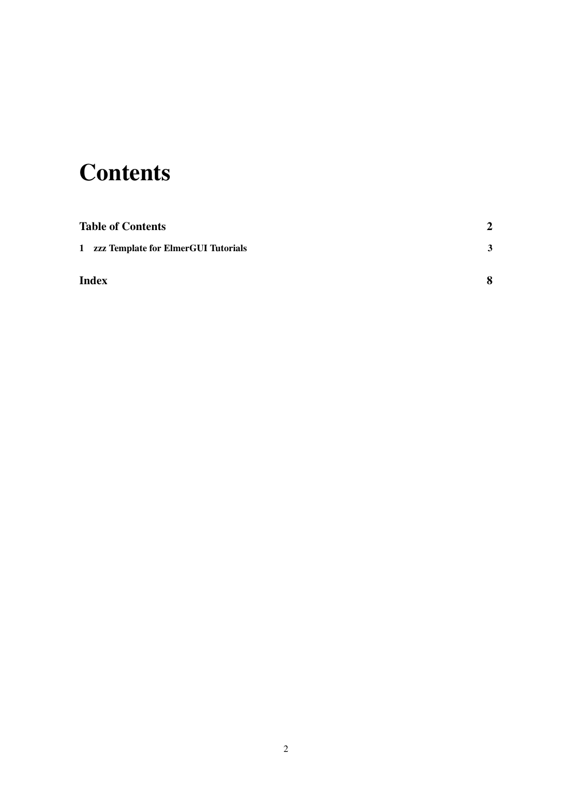## <span id="page-2-0"></span>**Contents**

| <b>Table of Contents</b>              | $\mathbf{2}$ |
|---------------------------------------|--------------|
| 1 zzz Template for ElmerGUI Tutorials | 3            |
| <b>Index</b>                          | 8            |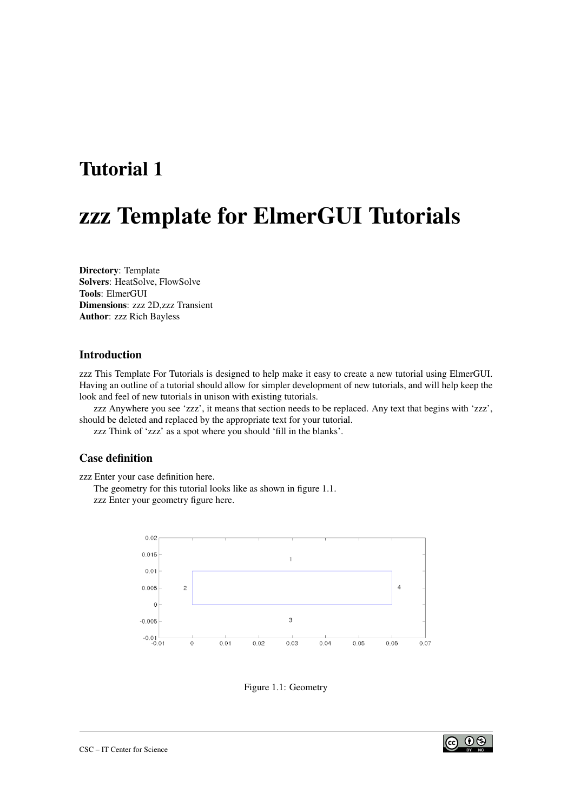### <span id="page-3-2"></span><span id="page-3-0"></span>Tutorial 1

### zzz Template for ElmerGUI Tutorials

Directory: Template Solvers: HeatSolve, FlowSolve Tools: ElmerGUI Dimensions: zzz 2D,zzz Transient Author: zzz Rich Bayless

#### Introduction

zzz This Template For Tutorials is designed to help make it easy to create a new tutorial using ElmerGUI. Having an outline of a tutorial should allow for simpler development of new tutorials, and will help keep the look and feel of new tutorials in unison with existing tutorials.

zzz Anywhere you see 'zzz', it means that section needs to be replaced. Any text that begins with 'zzz', should be deleted and replaced by the appropriate text for your tutorial.

zzz Think of 'zzz' as a spot where you should 'fill in the blanks'.

#### Case definition

zzz Enter your case definition here.

The geometry for this tutorial looks like as shown in figure [1.1.](#page-3-1) zzz Enter your geometry figure here.



<span id="page-3-1"></span>Figure 1.1: Geometry

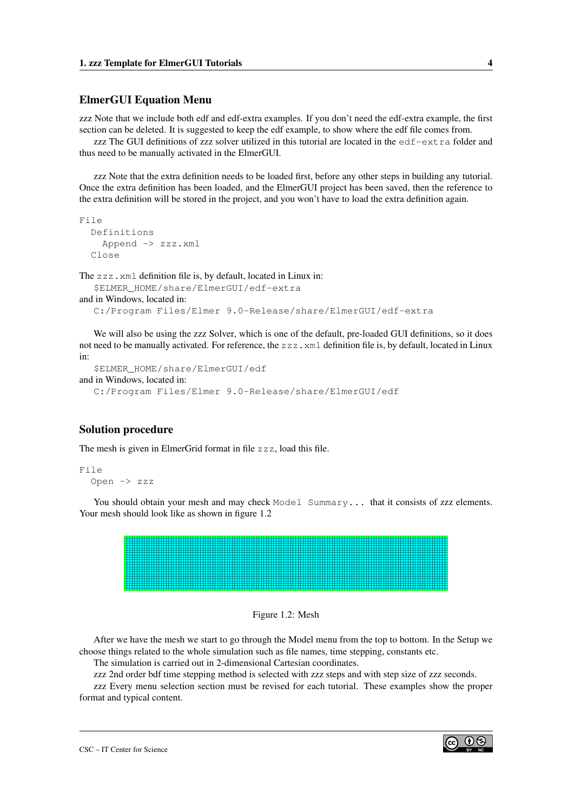#### <span id="page-4-1"></span>ElmerGUI Equation Menu

zzz Note that we include both edf and edf-extra examples. If you don't need the edf-extra example, the first section can be deleted. It is suggested to keep the edf example, to show where the edf file comes from.

zzz The GUI definitions of zzz solver utilized in this tutorial are located in the edf-extra folder and thus need to be manually activated in the ElmerGUI.

zzz Note that the extra definition needs to be loaded first, before any other steps in building any tutorial. Once the extra definition has been loaded, and the ElmerGUI project has been saved, then the reference to the extra definition will be stored in the project, and you won't have to load the extra definition again.

```
File
  Definitions
    Append -> zzz.xml
  Close
```
The zzz.xml definition file is, by default, located in Linux in:

```
$ELMER_HOME/share/ElmerGUI/edf-extra
and in Windows, located in:
  C:/Program Files/Elmer 9.0-Release/share/ElmerGUI/edf-extra
```
We will also be using the zzz Solver, which is one of the default, pre-loaded GUI definitions, so it does not need to be manually activated. For reference, the zzz. xml definition file is, by default, located in Linux in:

```
$ELMER_HOME/share/ElmerGUI/edf
and in Windows, located in:
  C:/Program Files/Elmer 9.0-Release/share/ElmerGUI/edf
```
#### Solution procedure

The mesh is given in ElmerGrid format in file zzz, load this file.

```
File
  Open -> zzz
```
You should obtain your mesh and may check Model Summary... that it consists of zzz elements. Your mesh should look like as shown in figure [1.2](#page-4-0)



<span id="page-4-0"></span>

After we have the mesh we start to go through the Model menu from the top to bottom. In the Setup we choose things related to the whole simulation such as file names, time stepping, constants etc.

The simulation is carried out in 2-dimensional Cartesian coordinates.

zzz 2nd order bdf time stepping method is selected with zzz steps and with step size of zzz seconds.

zzz Every menu selection section must be revised for each tutorial. These examples show the proper format and typical content.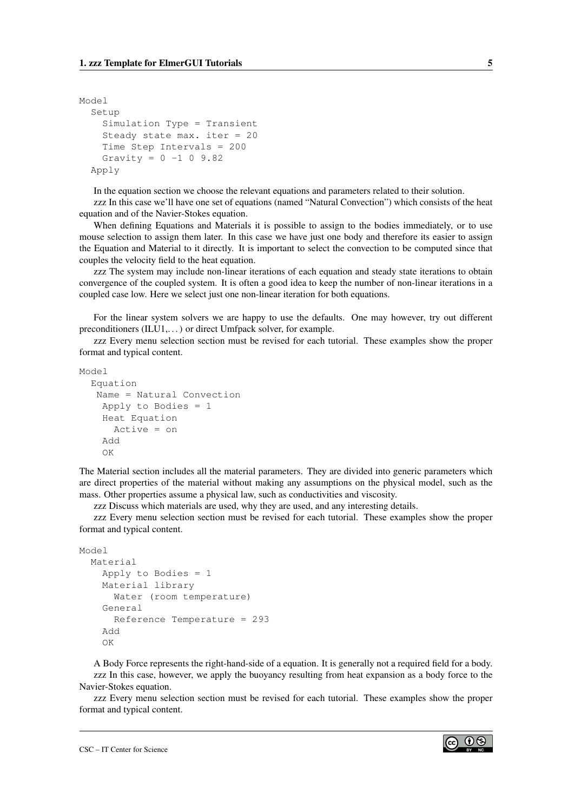```
Model
  Setup
    Simulation Type = Transient
    Steady state max. iter = 20
    Time Step Intervals = 200
    Gravity = 0 -1 0 9.82Apply
```
In the equation section we choose the relevant equations and parameters related to their solution.

zzz In this case we'll have one set of equations (named "Natural Convection") which consists of the heat equation and of the Navier-Stokes equation.

When defining Equations and Materials it is possible to assign to the bodies immediately, or to use mouse selection to assign them later. In this case we have just one body and therefore its easier to assign the Equation and Material to it directly. It is important to select the convection to be computed since that couples the velocity field to the heat equation.

zzz The system may include non-linear iterations of each equation and steady state iterations to obtain convergence of the coupled system. It is often a good idea to keep the number of non-linear iterations in a coupled case low. Here we select just one non-linear iteration for both equations.

For the linear system solvers we are happy to use the defaults. One may however, try out different preconditioners (ILU1,. . . ) or direct Umfpack solver, for example.

zzz Every menu selection section must be revised for each tutorial. These examples show the proper format and typical content.

Model

```
Equation
 Name = Natural Convection
  Apply to Bodies = 1
 Heat Equation
    Active = on
  Add
  OK
```
The Material section includes all the material parameters. They are divided into generic parameters which are direct properties of the material without making any assumptions on the physical model, such as the mass. Other properties assume a physical law, such as conductivities and viscosity.

zzz Discuss which materials are used, why they are used, and any interesting details.

zzz Every menu selection section must be revised for each tutorial. These examples show the proper format and typical content.

```
Model
  Material
    Apply to Bodies = 1
    Material library
      Water (room temperature)
    General
      Reference Temperature = 293
    Add
    OK
```
A Body Force represents the right-hand-side of a equation. It is generally not a required field for a body. zzz In this case, however, we apply the buoyancy resulting from heat expansion as a body force to the Navier-Stokes equation.

zzz Every menu selection section must be revised for each tutorial. These examples show the proper format and typical content.

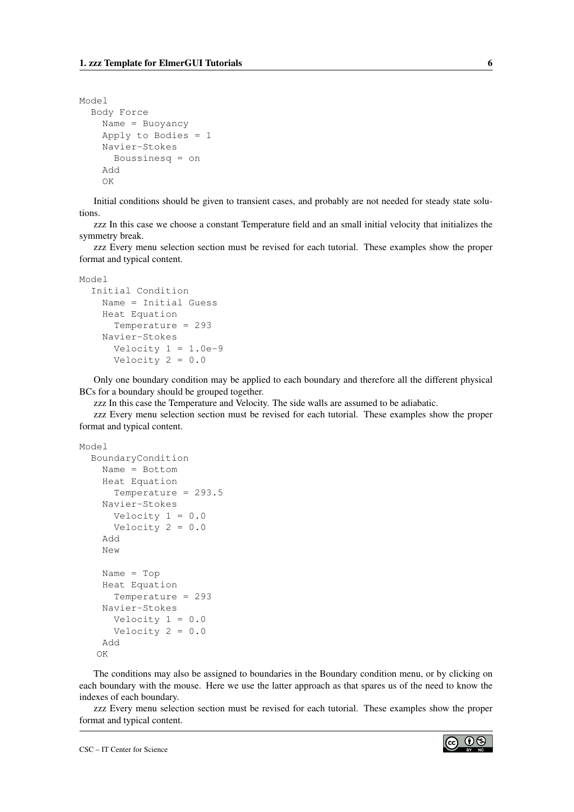```
Model
  Body Force
    Name = Buoyancy
    Apply to Bodies = 1
    Navier-Stokes
      Boussinesq = on
    Add
    OK
```
Initial conditions should be given to transient cases, and probably are not needed for steady state solutions.

zzz In this case we choose a constant Temperature field and an small initial velocity that initializes the symmetry break.

zzz Every menu selection section must be revised for each tutorial. These examples show the proper format and typical content.

Model

```
Initial Condition
 Name = Initial Guess
  Heat Equation
    Temperature = 293
 Navier-Stokes
   Velocity 1 = 1.0e-9Velocity 2 = 0.0
```
Only one boundary condition may be applied to each boundary and therefore all the different physical BCs for a boundary should be grouped together.

zzz In this case the Temperature and Velocity. The side walls are assumed to be adiabatic.

zzz Every menu selection section must be revised for each tutorial. These examples show the proper format and typical content.

```
Model
```

```
BoundaryCondition
 Name = Bottom
  Heat Equation
    Temperature = 293.5
  Navier-Stokes
   Velocity 1 = 0.0Velocity 2 = 0.0Add
  New
  Name = Top
  Heat Equation
   Temperature = 293
  Navier-Stokes
   Velocity 1 = 0.0Velocity 2 = 0.0Add
 OK
```
The conditions may also be assigned to boundaries in the Boundary condition menu, or by clicking on each boundary with the mouse. Here we use the latter approach as that spares us of the need to know the indexes of each boundary.

zzz Every menu selection section must be revised for each tutorial. These examples show the proper format and typical content.

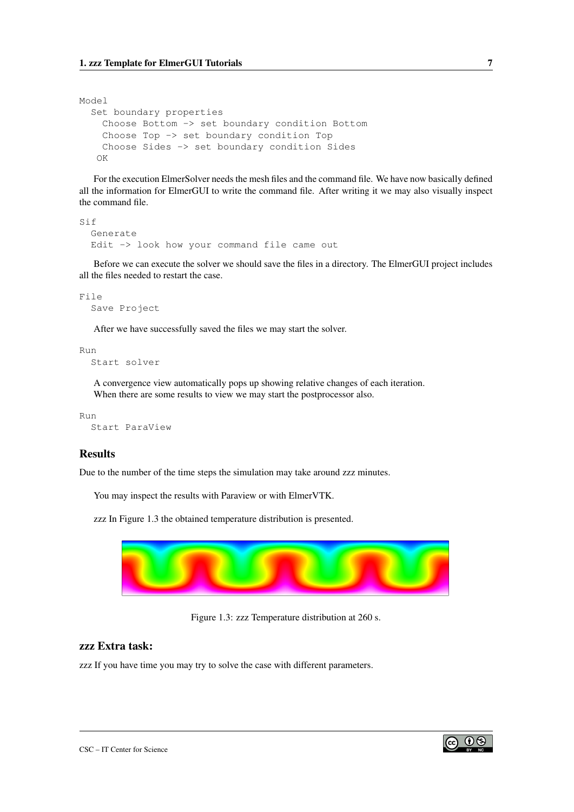Model

```
Set boundary properties
 Choose Bottom -> set boundary condition Bottom
  Choose Top -> set boundary condition Top
  Choose Sides -> set boundary condition Sides
 OK
```
For the execution ElmerSolver needs the mesh files and the command file. We have now basically defined all the information for ElmerGUI to write the command file. After writing it we may also visually inspect the command file.

```
Sif
  Generate
  Edit -> look how your command file came out
```
Before we can execute the solver we should save the files in a directory. The ElmerGUI project includes all the files needed to restart the case.

```
File
  Save Project
```
After we have successfully saved the files we may start the solver.

Run

Start solver

A convergence view automatically pops up showing relative changes of each iteration. When there are some results to view we may start the postprocessor also.

Run Start ParaView

#### Results

Due to the number of the time steps the simulation may take around zzz minutes.

You may inspect the results with Paraview or with ElmerVTK.

zzz In Figure [1.3](#page-7-0) the obtained temperature distribution is presented.



<span id="page-7-0"></span>Figure 1.3: zzz Temperature distribution at 260 s.

#### zzz Extra task:

zzz If you have time you may try to solve the case with different parameters.